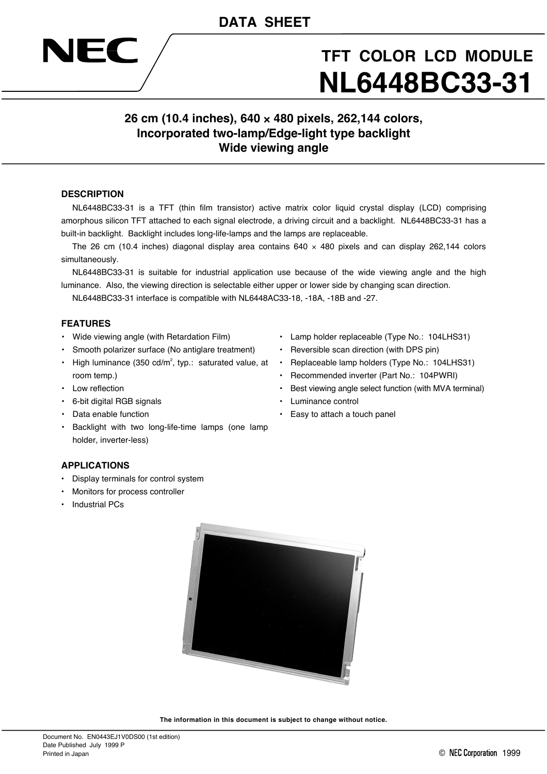

# **TFT COLOR LCD MODULE NL6448BC33-31**

# **26 cm (10.4 inches), 640** × **480 pixels, 262,144 colors, Incorporated two-lamp/Edge-light type backlight Wide viewing angle**

### **DESCRIPTION**

NL6448BC33-31 is a TFT (thin film transistor) active matrix color liquid crystal display (LCD) comprising amorphous silicon TFT attached to each signal electrode, a driving circuit and a backlight. NL6448BC33-31 has a built-in backlight. Backlight includes long-life-lamps and the lamps are replaceable.

The 26 cm (10.4 inches) diagonal display area contains  $640 \times 480$  pixels and can display 262,144 colors simultaneously.

NL6448BC33-31 is suitable for industrial application use because of the wide viewing angle and the high luminance. Also, the viewing direction is selectable either upper or lower side by changing scan direction.

NL6448BC33-31 interface is compatible with NL6448AC33-18, -18A, -18B and -27.

#### **FEATURES**

- Wide viewing angle (with Retardation Film)
- Smooth polarizer surface (No antiglare treatment)
- High luminance (350 cd/m<sup>2</sup>, typ.: saturated value, at room temp.)
- Low reflection
- 6-bit digital RGB signals
- Data enable function
- Backlight with two long-life-time lamps (one lamp holder, inverter-less)
- Lamp holder replaceable (Type No.: 104LHS31)
- Reversible scan direction (with DPS pin)
- Replaceable lamp holders (Type No.: 104LHS31)
- Recommended inverter (Part No.: 104PWRI)
- Best viewing angle select function (with MVA terminal)
- Luminance control
- Easy to attach a touch panel

#### **APPLICATIONS**

- Display terminals for control system
- Monitors for process controller
- Industrial PCs



**The information in this document is subject to change without notice.**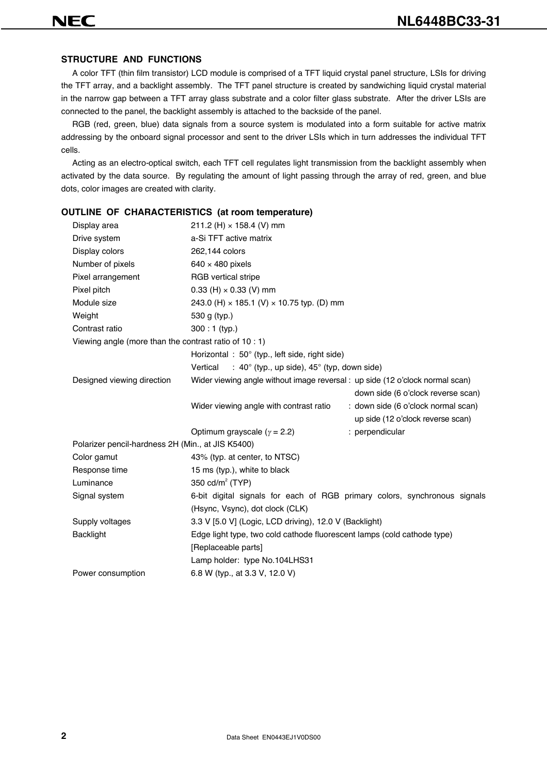#### **STRUCTURE AND FUNCTIONS**

A color TFT (thin film transistor) LCD module is comprised of a TFT liquid crystal panel structure, LSIs for driving the TFT array, and a backlight assembly. The TFT panel structure is created by sandwiching liquid crystal material in the narrow gap between a TFT array glass substrate and a color filter glass substrate. After the driver LSIs are connected to the panel, the backlight assembly is attached to the backside of the panel.

RGB (red, green, blue) data signals from a source system is modulated into a form suitable for active matrix addressing by the onboard signal processor and sent to the driver LSIs which in turn addresses the individual TFT cells.

Acting as an electro-optical switch, each TFT cell regulates light transmission from the backlight assembly when activated by the data source. By regulating the amount of light passing through the array of red, green, and blue dots, color images are created with clarity.

#### **OUTLINE OF CHARACTERISTICS (at room temperature)**

| Display area                                           | 211.2 (H) $\times$ 158.4 (V) mm                                               |                                     |
|--------------------------------------------------------|-------------------------------------------------------------------------------|-------------------------------------|
| Drive system                                           | a-Si TFT active matrix                                                        |                                     |
| Display colors                                         | 262,144 colors                                                                |                                     |
| Number of pixels                                       | $640 \times 480$ pixels                                                       |                                     |
| Pixel arrangement                                      | RGB vertical stripe                                                           |                                     |
| Pixel pitch                                            | 0.33 (H) $\times$ 0.33 (V) mm                                                 |                                     |
| Module size                                            | 243.0 (H) × 185.1 (V) × 10.75 typ. (D) mm                                     |                                     |
| Weight                                                 | 530 g (typ.)                                                                  |                                     |
| Contrast ratio                                         | $300:1$ (typ.)                                                                |                                     |
| Viewing angle (more than the contrast ratio of 10 : 1) |                                                                               |                                     |
|                                                        | Horizontal: 50° (typ., left side, right side)                                 |                                     |
|                                                        | : 40 $^{\circ}$ (typ., up side), 45 $^{\circ}$ (typ, down side)<br>Vertical   |                                     |
| Designed viewing direction                             | Wider viewing angle without image reversal : up side (12 o'clock normal scan) |                                     |
|                                                        |                                                                               | down side (6 o'clock reverse scan)  |
|                                                        | Wider viewing angle with contrast ratio                                       | : down side (6 o'clock normal scan) |
|                                                        |                                                                               | up side (12 o'clock reverse scan)   |
|                                                        | Optimum grayscale ( $\gamma$ = 2.2)                                           | : perpendicular                     |
| Polarizer pencil-hardness 2H (Min., at JIS K5400)      |                                                                               |                                     |
| Color gamut                                            | 43% (typ. at center, to NTSC)                                                 |                                     |
| Response time                                          | 15 ms (typ.), white to black                                                  |                                     |
| Luminance                                              | 350 $cd/m2$ (TYP)                                                             |                                     |
| Signal system                                          | 6-bit digital signals for each of RGB primary colors, synchronous signals     |                                     |
|                                                        | (Hsync, Vsync), dot clock (CLK)                                               |                                     |
| Supply voltages                                        | 3.3 V [5.0 V] (Logic, LCD driving), 12.0 V (Backlight)                        |                                     |
| <b>Backlight</b>                                       | Edge light type, two cold cathode fluorescent lamps (cold cathode type)       |                                     |
|                                                        | [Replaceable parts]                                                           |                                     |
|                                                        | Lamp holder: type No.104LHS31                                                 |                                     |
| Power consumption                                      | 6.8 W (typ., at 3.3 V, 12.0 V)                                                |                                     |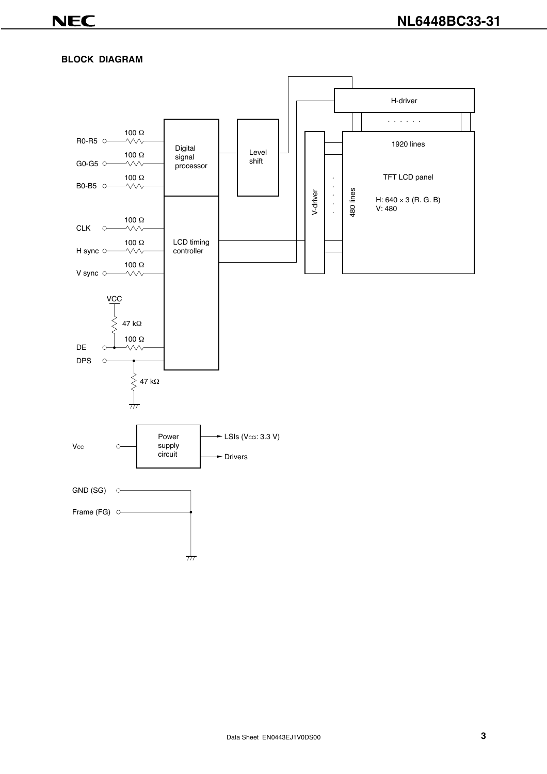# **BLOCK DIAGRAM**

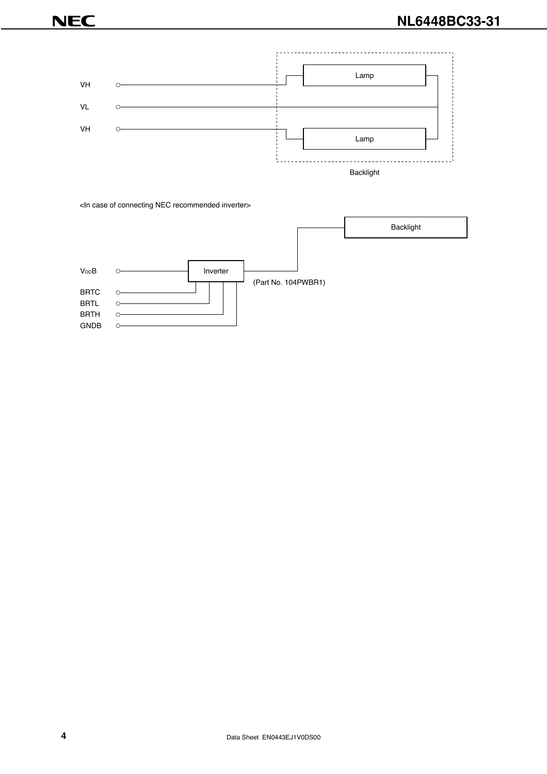

<In case of connecting NEC recommended inverter>

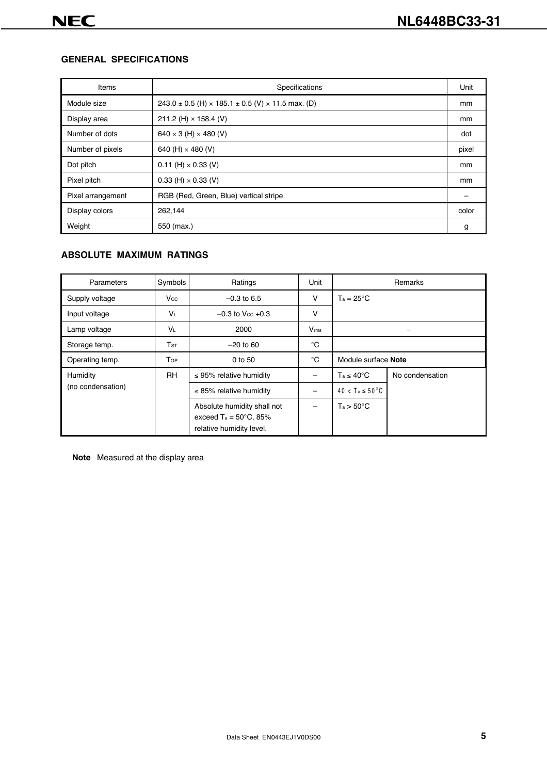# **GENERAL SPECIFICATIONS**

| Items             | Specifications                                                          | Unit  |
|-------------------|-------------------------------------------------------------------------|-------|
| Module size       | $243.0 \pm 0.5$ (H) $\times$ 185.1 $\pm$ 0.5 (V) $\times$ 11.5 max. (D) | mm    |
| Display area      | 211.2 (H) $\times$ 158.4 (V)                                            | mm    |
| Number of dots    | $640 \times 3$ (H) $\times$ 480 (V)                                     | dot   |
| Number of pixels  | 640 (H) $\times$ 480 (V)                                                | pixel |
| Dot pitch         | $0.11$ (H) $\times$ 0.33 (V)                                            | mm    |
| Pixel pitch       | $0.33$ (H) $\times$ 0.33 (V)                                            | mm    |
| Pixel arrangement | RGB (Red, Green, Blue) vertical stripe                                  |       |
| Display colors    | 262,144                                                                 | color |
| Weight            | 550 (max.)                                                              | g     |

# **ABSOLUTE MAXIMUM RATINGS**

| Parameters        | Symbols         | Ratings                                                                                    | Unit          | Remarks                     |                 |  |
|-------------------|-----------------|--------------------------------------------------------------------------------------------|---------------|-----------------------------|-----------------|--|
| Supply voltage    | $V_{\rm CC}$    | $-0.3$ to 6.5                                                                              | v             | $T_a = 25^{\circ}C$         |                 |  |
| Input voltage     | $V_{\perp}$     | $-0.3$ to V <sub>cc</sub> $+0.3$                                                           | v             |                             |                 |  |
| Lamp voltage      | VL              | 2000                                                                                       | $V_{\rm rms}$ |                             |                 |  |
| Storage temp.     | T <sub>ST</sub> | $-20$ to 60                                                                                | °C            |                             |                 |  |
| Operating temp.   | Top             | 0 to 50                                                                                    | $^{\circ}$ C  | Module surface Note         |                 |  |
| Humidity          | <b>RH</b>       | $\leq$ 95% relative humidity                                                               |               | $T_a \leq 40^{\circ}C$      | No condensation |  |
| (no condensation) |                 | $\leq$ 85% relative humidity                                                               |               | $40 < T_a \le 50^{\circ}$ C |                 |  |
|                   |                 | Absolute humidity shall not<br>exceed $Ta = 50^{\circ}C$ , 85%<br>relative humidity level. |               | $T_a > 50^{\circ}$ C        |                 |  |

**Note** Measured at the display area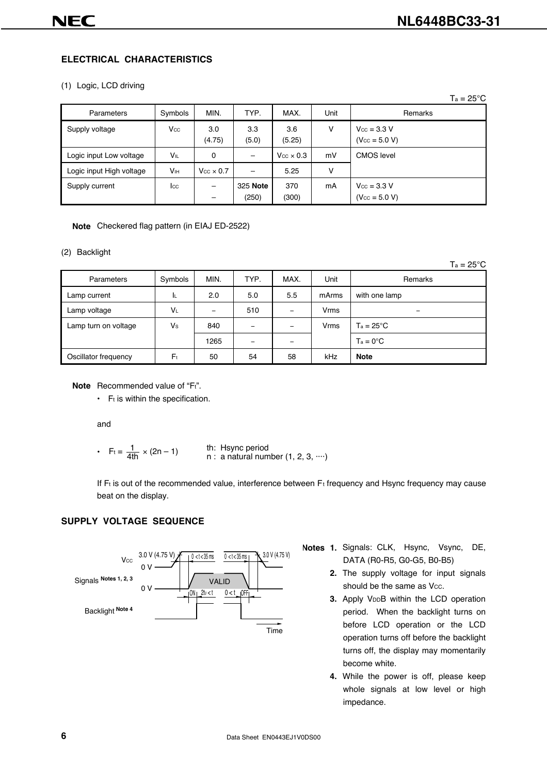$T = 25°C$ 

# **ELECTRICAL CHARACTERISTICS**

#### (1) Logic, LCD driving

|                          |                        |                         |                   |                         |      | 1a – ∠o U                                     |
|--------------------------|------------------------|-------------------------|-------------------|-------------------------|------|-----------------------------------------------|
| Parameters               | Symbols                | MIN.                    | TYP.              | MAX.                    | Unit | Remarks                                       |
| Supply voltage           | Vcc                    | 3.0<br>(4.75)           | 3.3<br>(5.0)      | 3.6<br>(5.25)           | v    | $V_{\text{CC}} = 3.3 V$<br>$(V_{CC} = 5.0 V)$ |
| Logic input Low voltage  | V⊫                     | 0                       | -                 | $V_{\rm CC} \times 0.3$ | mV   | <b>CMOS</b> level                             |
| Logic input High voltage | <b>V</b> <sub>IH</sub> | $V_{\rm CC} \times 0.7$ |                   | 5.25                    | v    |                                               |
| Supply current           | lcc                    |                         | 325 Note<br>(250) | 370<br>(300)            | mA   | $V_{\text{CC}} = 3.3 V$<br>$(V_{CC} = 5.0 V)$ |

#### **Note** Checkered flag pattern (in EIAJ ED-2522)

#### (2) Backlight

 $Ta = 25^{\circ}C$ 

| Parameters           | Symbols        | MIN.                     | TYP. | MAX.                     | Unit       | Remarks            |
|----------------------|----------------|--------------------------|------|--------------------------|------------|--------------------|
| Lamp current         | ΙL.            | 2.0                      | 5.0  | 5.5                      | mArms      | with one lamp      |
| Lamp voltage         | VL             | $\overline{\phantom{a}}$ | 510  |                          | Vrms       | -                  |
| Lamp turn on voltage | Vs             | 840                      |      | $\overline{\phantom{m}}$ | Vrms       | $Ta = 25^{\circ}C$ |
|                      |                | 1265                     |      | $\equiv$                 |            | $Ta = 0^{\circ}C$  |
| Oscillator frequency | F <sub>t</sub> | 50                       | 54   | 58                       | <b>kHz</b> | <b>Note</b>        |

**Note** Recommended value of "Ft".

 $\cdot$  F<sub>t</sub> is within the specification.

and

• 
$$
F_t = \frac{1}{4th} \times (2n - 1)
$$

th : Hsync period  $\times$  (2n – 1) and the sync period<br>n: a natural number (1, 2, 3, …)

If Ft is out of the recommended value, interference between Ft frequency and Hsync frequency may cause beat on the display.

# **SUPPLY VOLTAGE SEQUENCE**



- **Notes 1.** Signals: CLK, Hsync, Vsync, DE, DATA (R0-R5, G0-G5, B0-B5)
	- **2.** The supply voltage for input signals should be the same as Vcc.
	- **3.** Apply VDDB within the LCD operation period. When the backlight turns on before LCD operation or the LCD operation turns off before the backlight turns off, the display may momentarily become white.
	- **4.** While the power is off, please keep whole signals at low level or high impedance.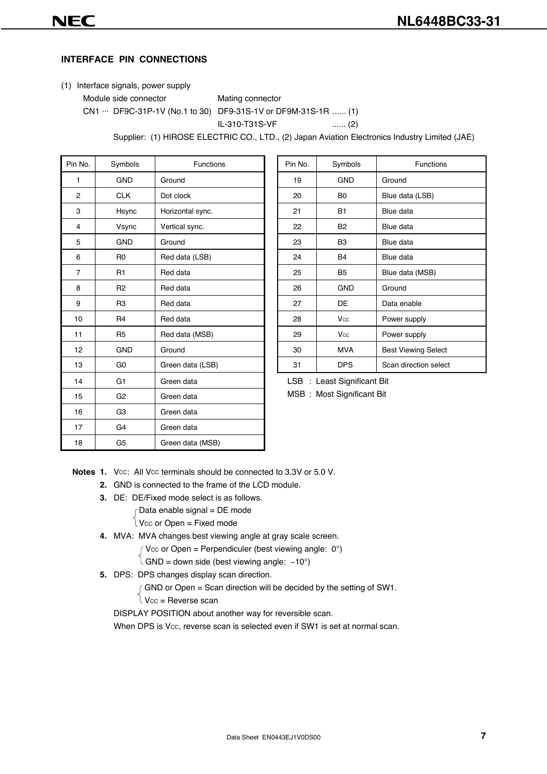# **INTERFACE PIN CONNECTIONS**

- (1) Interface signals, power supply
	- Module side connector Mating connector
	- CN1 ··· DF9C-31P-1V (No.1 to 30) DF9-31S-1V or DF9M-31S-1R ...... (1)

IL-310-T31S-VF ...... (2)

Supplier: (1) HIROSE ELECTRIC CO., LTD., (2) Japan Aviation Electronics Industry Limited (JAE)

| Pin No.        | Symbols        | <b>Functions</b> | Pin No. | Symbols                     | <b>Functions</b>           |
|----------------|----------------|------------------|---------|-----------------------------|----------------------------|
| 1              | <b>GND</b>     | Ground           | 19      | <b>GND</b>                  | Ground                     |
| $\overline{2}$ | <b>CLK</b>     | Dot clock        | 20      | B <sub>0</sub>              | Blue data (LSB)            |
| 3              | Hsync          | Horizontal sync. | 21      | <b>B1</b>                   | Blue data                  |
| 4              | Vsync          | Vertical sync.   | 22      | <b>B2</b>                   | Blue data                  |
| 5              | <b>GND</b>     | Ground           | 23      | B <sub>3</sub>              | Blue data                  |
| 6              | R <sub>0</sub> | Red data (LSB)   | 24      | <b>B4</b>                   | Blue data                  |
| $\overline{7}$ | R <sub>1</sub> | Red data         | 25      | B <sub>5</sub>              | Blue data (MSB)            |
| 8              | R <sub>2</sub> | Red data         | 26      | <b>GND</b>                  | Ground                     |
| 9              | R <sub>3</sub> | Red data         | 27      | DE                          | Data enable                |
| 10             | R <sub>4</sub> | Red data         | 28      | Vcc                         | Power supply               |
| 11             | R <sub>5</sub> | Red data (MSB)   | 29      | Vcc                         | Power supply               |
| 12             | <b>GND</b>     | Ground           | 30      | <b>MVA</b>                  | <b>Best Viewing Select</b> |
| 13             | G <sub>0</sub> | Green data (LSB) | 31      | <b>DPS</b>                  | Scan direction select      |
| 14             | G <sub>1</sub> | Green data       |         | LSB : Least Significant Bit |                            |
| 15             | G <sub>2</sub> | Green data       |         | MSB: Most Significant Bit   |                            |
| 16             | G <sub>3</sub> | Green data       |         |                             |                            |
| 17             | G4             | Green data       |         |                             |                            |
| 18             | G <sub>5</sub> | Green data (MSB) |         |                             |                            |

| Pin No. | Symbols        | <b>Functions</b>           |
|---------|----------------|----------------------------|
| 19      | <b>GND</b>     | Ground                     |
| 20      | B <sub>0</sub> | Blue data (LSB)            |
| 21      | <b>B1</b>      | Blue data                  |
| 22      | B <sub>2</sub> | Blue data                  |
| 23      | B <sub>3</sub> | Blue data                  |
| 24      | <b>B4</b>      | Blue data                  |
| 25      | B <sub>5</sub> | Blue data (MSB)            |
| 26      | <b>GND</b>     | Ground                     |
| 27      | DE             | Data enable                |
| 28      | Vcc            | Power supply               |
| 29      | Vcc            | Power supply               |
| 30      | <b>MVA</b>     | <b>Best Viewing Select</b> |
| 31      | <b>DPS</b>     | Scan direction select      |

- **Notes 1.** Vcc: All Vcc terminals should be connected to 3.3V or 5.0 V.
	- **2.** GND is connected to the frame of the LCD module.
	- **3.** DE: DE/Fixed mode select is as follows.
		- $\int$ Data enable signal = DE mode
		- $\log$  V<sub>CC</sub> or Open = Fixed mode
	- **4.** MVA: MVA changes best viewing angle at gray scale screen.

 $\int$  Vcc or Open = Perpendiculer (best viewing angle: 0°)

 $\hat{A}$  GND = down side (best viewing angle: -10°)

- **5.** DPS: DPS changes display scan direction.
	- $\int$  GND or Open = Scan direction will be decided by the setting of SW1.

 $\iota$  Vcc = Reverse scan

DISPLAY POSITION about another way for reversible scan.

When DPS is Vcc, reverse scan is selected even if SW1 is set at normal scan.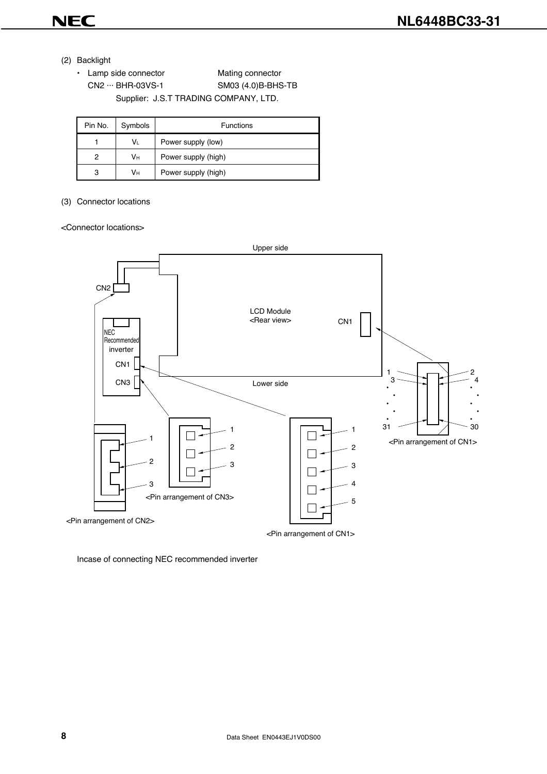

- (2) Backlight
	- Lamp side connector Mating connector CN2 ··· BHR-03VS-1 SM03 (4.0)B-BHS-TB Supplier: J.S.T TRADING COMPANY, LTD.

| Pin No. | Symbols | <b>Functions</b>    |  |  |  |  |  |  |
|---------|---------|---------------------|--|--|--|--|--|--|
|         | V∟      | Power supply (low)  |  |  |  |  |  |  |
| 2       | Vн      | Power supply (high) |  |  |  |  |  |  |
| 3       | Vн      | Power supply (high) |  |  |  |  |  |  |

#### (3) Connector locations

#### <Connector locations>



<Pin arrangement of CN1>

Incase of connecting NEC recommended inverter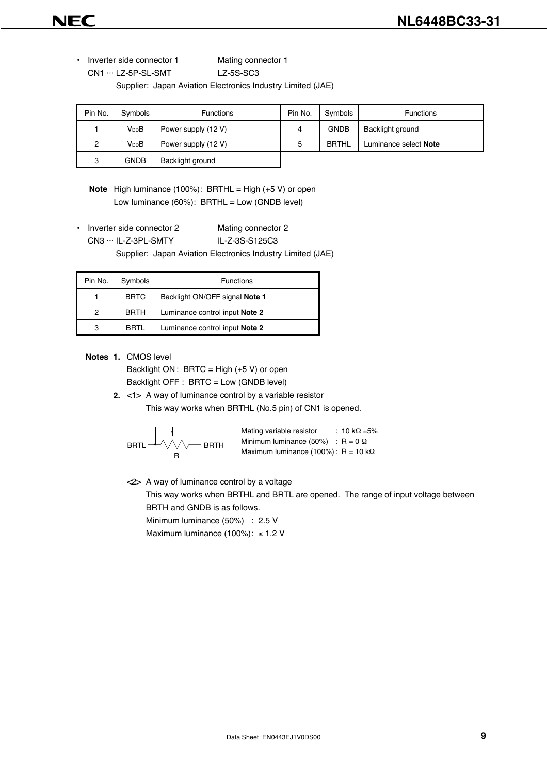• Inverter side connector 1 Mating connector 1

CN1 ··· LZ-5P-SL-SMT LZ-5S-SC3

Supplier: Japan Aviation Electronics Industry Limited (JAE)

| Pin No.        | Symbols           | <b>Functions</b>    | Pin No. | Symbols      | <b>Functions</b>      |
|----------------|-------------------|---------------------|---------|--------------|-----------------------|
|                | V <sub>DD</sub> B | Power supply (12 V) |         | <b>GNDB</b>  | Backlight ground      |
| $\overline{2}$ | V <sub>DD</sub> B | Power supply (12 V) | 5       | <b>BRTHL</b> | Luminance select Note |
| 3              | <b>GNDB</b>       | Backlight ground    |         |              |                       |

**Note** High luminance (100%): BRTHL = High (+5 V) or open Low luminance (60%): BRTHL = Low (GNDB level)

• Inverter side connector 2 Mating connector 2

CN3 ··· IL-Z-3PL-SMTY IL-Z-3S-S125C3

Supplier: Japan Aviation Electronics Industry Limited (JAE)

| Pin No. | Symbols     | <b>Functions</b>               |
|---------|-------------|--------------------------------|
|         | <b>BRTC</b> | Backlight ON/OFF signal Note 1 |
| 2       | <b>BRTH</b> | Luminance control input Note 2 |
| 3       | BRTI        | Luminance control input Note 2 |

**Notes 1.** CMOS level

Backlight ON : BRTC = High  $(+5 V)$  or open Backlight OFF : BRTC = Low (GNDB level)

**2.** <1> A way of luminance control by a variable resistor This way works when BRTHL (No.5 pin) of CN1 is opened.

BRTL BRTH R Mating variable resistor Minimum luminance (50%) Maximum luminance (100%) : 10 kΩ ±5% : R = 0 Ω : R = 10 kΩ

<2> A way of luminance control by a voltage

This way works when BRTHL and BRTL are opened. The range of input voltage between BRTH and GNDB is as follows.

Minimum luminance (50%) : 2.5 V

Maximum luminance (100%): ≤ 1.2 V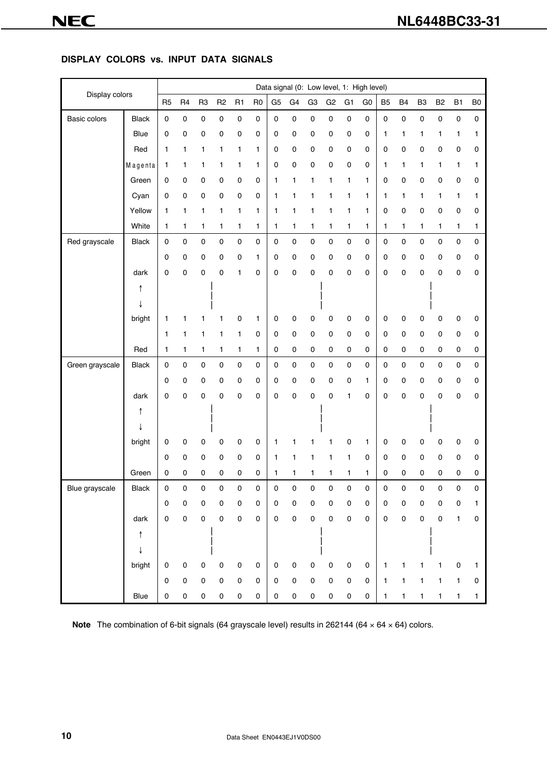#### **DISPLAY COLORS vs. INPUT DATA SIGNALS**

|                 |              |                |                |                |                |                     |                |                |             |                | Data signal (0: Low level, 1: High level) |                |                |                |              |                |                |              |                |
|-----------------|--------------|----------------|----------------|----------------|----------------|---------------------|----------------|----------------|-------------|----------------|-------------------------------------------|----------------|----------------|----------------|--------------|----------------|----------------|--------------|----------------|
| Display colors  |              | R <sub>5</sub> | R <sub>4</sub> | R <sub>3</sub> | R <sub>2</sub> | R <sub>1</sub>      | R <sub>0</sub> | G <sub>5</sub> | G4          | G <sub>3</sub> | G <sub>2</sub>                            | G <sub>1</sub> | G <sub>0</sub> | B <sub>5</sub> | <b>B4</b>    | B <sub>3</sub> | B <sub>2</sub> | <b>B1</b>    | B <sub>0</sub> |
| Basic colors    | <b>Black</b> | $\pmb{0}$      | $\pmb{0}$      | $\mathbf 0$    | $\pmb{0}$      | 0                   | $\pmb{0}$      | $\mathbf 0$    | 0           | $\mathbf 0$    | $\mathbf 0$                               | 0              | $\pmb{0}$      | $\mathsf 0$    | $\pmb{0}$    | $\pmb{0}$      | $\pmb{0}$      | $\pmb{0}$    | $\mathsf 0$    |
|                 | Blue         | $\pmb{0}$      | $\pmb{0}$      | 0              | $\pmb{0}$      | $\pmb{0}$           | 0              | $\mathbf 0$    | 0           | $\pmb{0}$      | 0                                         | 0              | 0              | 1              | 1            | 1              | 1              | 1            | 1              |
|                 | Red          | 1              | 1              | 1              | 1              | 1                   | 1              | 0              | 0           | $\pmb{0}$      | $\mathsf 0$                               | 0              | 0              | 0              | 0            | 0              | 0              | $\pmb{0}$    | 0              |
|                 | Magenta      | 1              | 1              | 1              | 1              | 1                   | 1              | $\pmb{0}$      | 0           | $\pmb{0}$      | 0                                         | 0              | 0              | 1              | 1            | 1              | 1              | 1            | 1              |
|                 | Green        | 0              | $\mathbf 0$    | 0              | 0              | 0                   | 0              | 1              | 1           | 1              | 1                                         | 1              | 1              | 0              | 0            | 0              | 0              | $\mathbf 0$  | 0              |
|                 | Cyan         | 0              | 0              | 0              | 0              | 0                   | 0              | 1              | 1           | 1              | 1                                         | 1              | 1              | 1              | 1            | 1              | 1              | 1            | 1              |
|                 | Yellow       | 1              | 1              | 1              | $\mathbf{1}$   | 1                   | 1              | 1              | 1           | 1              | $\mathbf{1}$                              | 1              | 1              | 0              | $\pmb{0}$    | $\pmb{0}$      | 0              | $\pmb{0}$    | 0              |
|                 | White        | 1              | 1              | 1              | 1              | 1                   | 1              | 1              | 1           | 1              | 1                                         | 1              | 1              | 1              | 1            | 1              | 1              | $\mathbf{1}$ | 1              |
| Red grayscale   | <b>Black</b> | $\mathbf 0$    | $\pmb{0}$      | $\pmb{0}$      | $\pmb{0}$      | 0                   | $\mathbf 0$    | 0              | 0           | $\mathbf 0$    | $\pmb{0}$                                 | 0              | 0              | 0              | $\pmb{0}$    | $\pmb{0}$      | 0              | $\mathbf 0$  | 0              |
|                 |              | 0              | $\mathbf 0$    | 0              | 0              | 0                   | 1              | 0              | 0           | $\pmb{0}$      | 0                                         | 0              | 0              | 0              | $\mathsf 0$  | 0              | 0              | $\mathbf 0$  | 0              |
|                 | dark         | 0              | 0              | 0              | $\pmb{0}$      | 1                   | 0              | 0              | 0           | 0              | 0                                         | 0              | 0              | 0              | $\pmb{0}$    | 0              | 0              | 0            | 0              |
|                 | ↑            |                |                |                |                |                     |                |                |             |                |                                           |                |                |                |              |                |                |              |                |
|                 |              |                |                |                |                |                     |                |                |             |                |                                           |                |                |                |              |                |                |              |                |
|                 | bright       | 1              | 1              | 1              | 1              | 0                   | 1              | 0              | 0           | 0              | 0                                         | 0              | 0              | 0              | 0            | 0              | 0              | 0            | 0              |
|                 |              | 1              | 1              | 1              | 1              | 1                   | 0              | 0              | 0           | $\pmb{0}$      | $\mathbf 0$                               | $\pmb{0}$      | 0              | 0              | $\pmb{0}$    | 0              | 0              | $\pmb{0}$    | 0              |
|                 | Red          | 1              | 1              | 1              | 1              | 1                   | 1              | 0              | 0           | 0              | 0                                         | $\pmb{0}$      | 0              | 0              | 0            | $\mathbf 0$    | 0              | $\mathbf 0$  | 0              |
| Green grayscale | <b>Black</b> | $\pmb{0}$      | $\pmb{0}$      | $\pmb{0}$      | $\pmb{0}$      | $\mathbf 0$         | $\mathbf 0$    | $\mathbf 0$    | $\mathsf 0$ | $\pmb{0}$      | $\pmb{0}$                                 | 0              | 0              | 0              | $\pmb{0}$    | $\pmb{0}$      | $\mathbf 0$    | $\pmb{0}$    | 0              |
|                 |              | $\mathbf 0$    | 0              | 0              | 0              | 0                   | 0              | 0              | 0           | 0              | 0                                         | 0              | 1              | 0              | 0            | 0              | 0              | 0            | 0              |
|                 | dark         | 0              | 0              | $\mathbf 0$    | $\mathbf 0$    | 0                   | 0              | 0              | 0           | 0              | $\mathbf 0$                               | 1              | 0              | 0              | $\pmb{0}$    | 0              | 0              | 0            | 0              |
|                 | ↑            |                |                |                |                |                     |                |                |             |                |                                           |                |                |                |              |                |                |              |                |
|                 |              |                |                |                |                |                     |                |                |             |                |                                           |                |                |                |              |                |                |              |                |
|                 | bright       | 0              | $\mathbf 0$    | 0              | 0              | 0                   | 0              | 1              | 1           | 1              | 1                                         | 0              | 1              | 0              | $\pmb{0}$    | 0              | 0              | $\pmb{0}$    | 0              |
|                 |              | 0              | 0              | 0              | 0              | 0                   | 0              | 1              | 1           | 1              | 1                                         | 1              | 0              | 0              | 0            | 0              | 0              | 0            | 0              |
|                 | Green        | 0              | 0              | 0              | $\pmb{0}$      | 0                   | 0              | 1              | 1           | 1              | 1                                         | 1              | 1              | 0              | 0            | 0              | 0              | $\pmb{0}$    | 0              |
| Blue grayscale  | <b>Black</b> | $\pmb{0}$      | 0              | 0              | $\sqrt{ }$     | 0                   | 0              | 0              | 0           | 0              |                                           |                | 0              | 0              | $\sim$       | 0              | $\sqrt{ }$     | 0            |                |
|                 |              | $\mathbf 0$    | 0              | 0              | $\mathbf 0$    | $\mathbf 0$         | $\mathsf 0$    | 0              | $\mathsf 0$ | 0              | $\mathsf 0$                               | 0              | 0              | 0              | 0            | 0              | 0              | $\pmb{0}$    | 1              |
|                 | dark         | $\pmb{0}$      | $\pmb{0}$      | $\mathsf 0$    | $\pmb{0}$      | $\pmb{0}$           | $\mathsf 0$    | $\mathbf 0$    | $\pmb{0}$   | $\mathsf 0$    | $\pmb{0}$                                 | $\pmb{0}$      | $\mathbf 0$    | $\mathsf 0$    | $\pmb{0}$    | 0              | 0              | 1            | 0              |
|                 | ↑            |                |                |                |                |                     |                |                |             |                |                                           |                |                |                |              |                |                |              |                |
|                 | ↓            |                |                |                |                |                     |                |                |             |                |                                           |                |                |                |              |                |                |              |                |
|                 | bright       | $\mathbf 0$    | $\pmb{0}$      | $\mathsf 0$    | $\pmb{0}$      | $\pmb{0}$           | $\mathsf 0$    | 0              | 0           | 0              | $\pmb{0}$                                 | $\pmb{0}$      | 0              | 1              | 1            | 1              | $\mathbf{1}$   | 0            | 1              |
|                 |              | $\pmb{0}$      | $\mathsf 0$    | $\mathbf 0$    | $\pmb{0}$      | $\mathsf{O}\xspace$ | $\mathbf 0$    | $\mathbf 0$    | 0           | $\pmb{0}$      | $\pmb{0}$                                 | $\pmb{0}$      | $\mathbf 0$    | 1              | 1            | 1              | 1              | 1            | 0              |
|                 | Blue         | $\pmb{0}$      | $\pmb{0}$      | 0              | $\pmb{0}$      | 0                   | $\pmb{0}$      | 0              | 0           | $\pmb{0}$      | $\pmb{0}$                                 | $\pmb{0}$      | 0              | $\mathbf{1}$   | $\mathbf{1}$ | 1              | 1              | $\mathbf{1}$ | $\mathbf{1}$   |

Note The combination of 6-bit signals (64 grayscale level) results in 262144 (64 x 64 x 64) colors.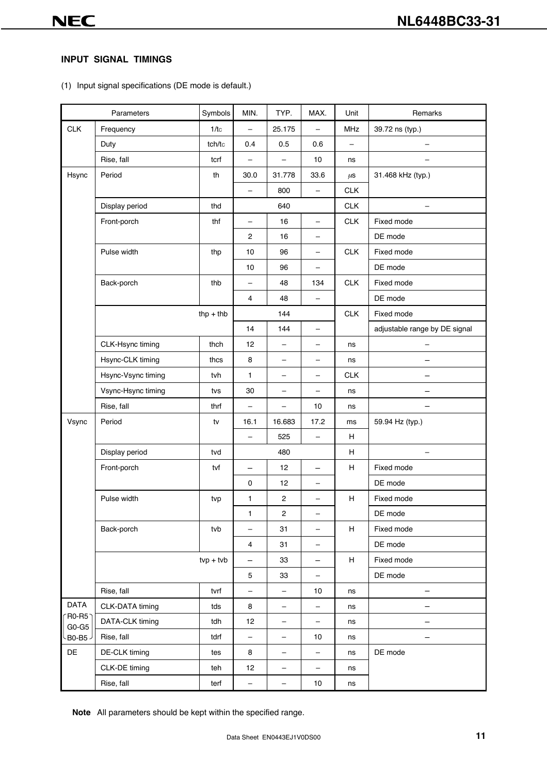# **INPUT SIGNAL TIMINGS**

(1) Input signal specifications (DE mode is default.)

| Parameters         |                    | Symbols     | MIN.                     | TYP.                     | MAX.                     | Unit                      | Remarks                       |  |
|--------------------|--------------------|-------------|--------------------------|--------------------------|--------------------------|---------------------------|-------------------------------|--|
| <b>CLK</b>         | Frequency          | 1/tc        | $\qquad \qquad -$        | 25.175                   | $\qquad \qquad -$        | MHz                       | 39.72 ns (typ.)               |  |
|                    | Duty               | tch/tc      | 0.4                      | 0.5                      | 0.6                      | $\qquad \qquad -$         |                               |  |
|                    | Rise, fall         | tcrf        | $\qquad \qquad -$        | $\overline{\phantom{0}}$ | 10                       | ns                        | $\overline{\phantom{0}}$      |  |
| Hsync              | Period             | th          | 30.0                     | 31.778                   | 33.6                     | $\mu$ S                   | 31.468 kHz (typ.)             |  |
|                    |                    |             | $\overline{\phantom{0}}$ | 800                      | $\overline{\phantom{0}}$ | <b>CLK</b>                |                               |  |
|                    | Display period     | thd         | 640                      |                          |                          | CLK                       | $\qquad \qquad -$             |  |
|                    | Front-porch        | thf         | $\qquad \qquad -$        | 16                       | $\overline{\phantom{0}}$ | CLK                       | Fixed mode                    |  |
|                    |                    |             | 2                        | 16                       | -                        |                           | DE mode                       |  |
|                    | Pulse width        | thp         | 10                       | 96                       | -                        | CLK                       | Fixed mode                    |  |
|                    |                    |             | 10                       | 96                       | -                        |                           | DE mode                       |  |
|                    | Back-porch         | thb         | $\qquad \qquad -$        | 48                       | 134                      | CLK                       | Fixed mode                    |  |
|                    |                    |             | $\overline{4}$           | 48                       | $\qquad \qquad -$        |                           | DE mode                       |  |
|                    |                    | $thp + thb$ |                          | 144                      |                          | CLK                       | Fixed mode                    |  |
|                    |                    |             | 14                       | 144                      | -                        |                           | adjustable range by DE signal |  |
|                    | CLK-Hsync timing   | thch        | 12                       | $\overline{\phantom{0}}$ | $\overline{\phantom{0}}$ | ns                        | -                             |  |
|                    | Hsync-CLK timing   | thcs        | 8                        | -                        | -                        | ns                        |                               |  |
|                    | Hsync-Vsync timing | tvh         | $\mathbf{1}$             | $\overline{\phantom{0}}$ | $\overline{\phantom{0}}$ | <b>CLK</b>                |                               |  |
|                    | Vsync-Hsync timing | tvs         | 30                       | $\overline{\phantom{0}}$ | $\overline{\phantom{0}}$ | ns                        |                               |  |
|                    | Rise, fall         | thrf        | $\overline{\phantom{0}}$ | $\overline{\phantom{0}}$ | 10                       | ns                        |                               |  |
| Vsync              | Period             | tv          | 16.1                     | 16.683                   | 17.2                     | ms                        | 59.94 Hz (typ.)               |  |
|                    |                    |             | $\qquad \qquad -$        | 525                      | $\overline{\phantom{m}}$ | H                         |                               |  |
|                    | Display period     | tvd         | 480                      |                          |                          | H                         |                               |  |
|                    | Front-porch        | tvf         | $\qquad \qquad -$        | 12                       | $\qquad \qquad -$        | H                         | Fixed mode                    |  |
|                    |                    |             | $\pmb{0}$                | 12                       | -                        |                           | DE mode                       |  |
|                    | Pulse width        | tvp         | $\mathbf{1}$             | $\overline{\mathbf{c}}$  | -                        | H                         | Fixed mode                    |  |
|                    |                    |             | $\mathbf{1}$             | 2                        |                          |                           | DE mode                       |  |
|                    | Back-porch         | tvb         | -                        | 31                       | -                        | н                         | Fixed mode                    |  |
|                    |                    |             | $\overline{\mathbf{4}}$  | 31                       | -                        |                           | DE mode                       |  |
|                    |                    | $typ + tvb$ | —                        | 33                       | -                        | $\boldsymbol{\mathsf{H}}$ | Fixed mode                    |  |
|                    |                    |             | $\mathbf 5$              | 33                       | $\qquad \qquad -$        |                           | DE mode                       |  |
|                    | Rise, fall         | tvrf        | $\qquad \qquad -$        | $\qquad \qquad -$        | 10                       | ns                        |                               |  |
| <b>DATA</b>        | CLK-DATA timing    | tds         | 8                        | -                        | $\qquad \qquad -$        | ns                        |                               |  |
| $R0-R5$            | DATA-CLK timing    | tdh         | 12                       | -                        | -                        | ns                        |                               |  |
| $G0-G5$<br>B0-B5 - | Rise, fall         | tdrf        | -                        | -                        | 10                       | ns                        |                               |  |
| DE                 | DE-CLK timing      | tes         | 8                        | $\overline{\phantom{0}}$ | $\qquad \qquad -$        | ns                        | DE mode                       |  |
|                    | CLK-DE timing      | teh         | 12                       | -                        | -                        | ns                        |                               |  |
|                    | Rise, fall         | terf        | $\qquad \qquad -$        | -                        | 10                       | ns                        |                               |  |
|                    |                    |             |                          |                          |                          |                           |                               |  |

**Note** All parameters should be kept within the specified range.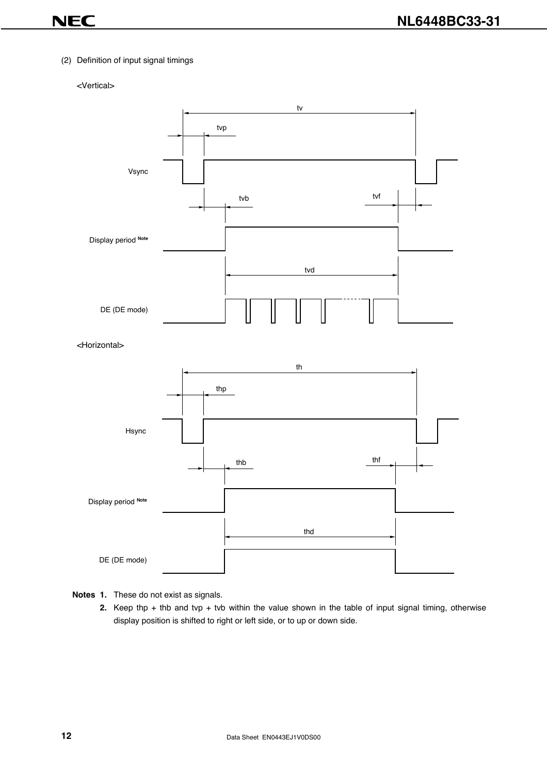#### (2) Definition of input signal timings

# <Vertical>



<Horizontal>



#### **Notes 1.** These do not exist as signals.

**2.** Keep thp + thb and tvp + tvb within the value shown in the table of input signal timing, otherwise display position is shifted to right or left side, or to up or down side.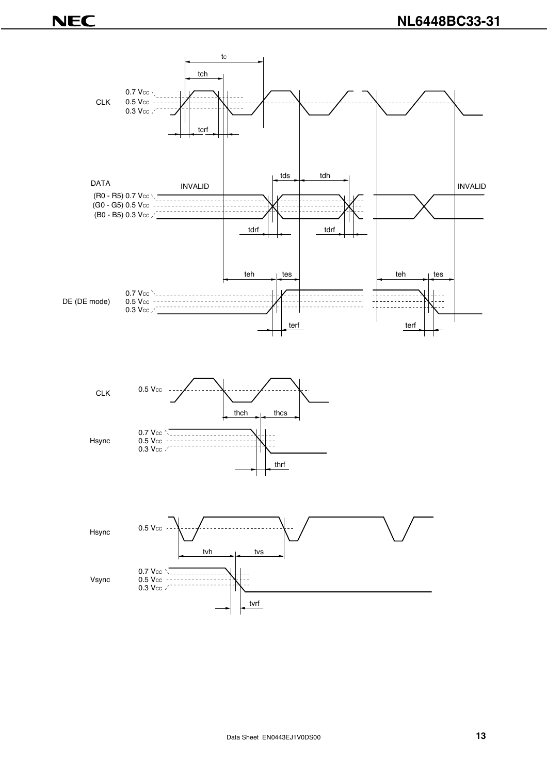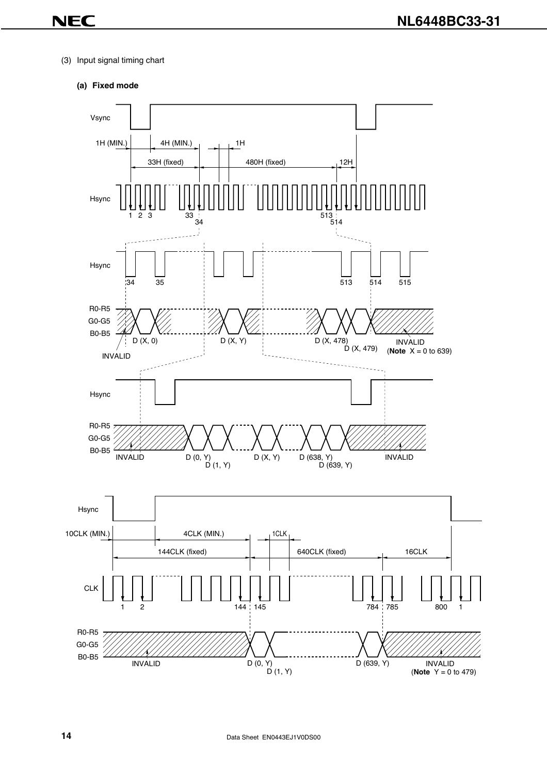- (3) Input signal timing chart
	- **(a) Fixed mode**

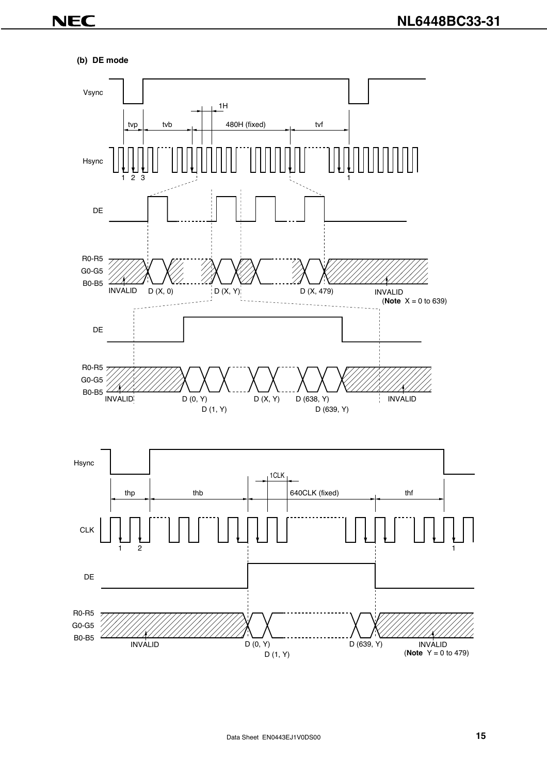#### **(b) DE mode**

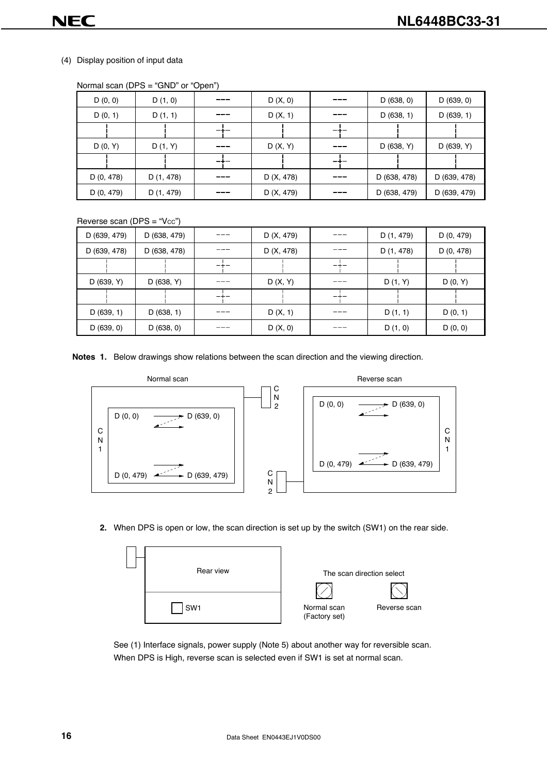#### (4) Display position of input data

| D(0, 0)    | D(1, 0)    | D(X, 0)    | D(638, 0)    | D(639, 0)    |
|------------|------------|------------|--------------|--------------|
| D(0, 1)    | D(1, 1)    | D(X, 1)    | D(638, 1)    | D(639, 1)    |
|            |            |            |              |              |
| D(0, Y)    | D(1, Y)    | D(X, Y)    | D (638, Y)   | D (639, Y)   |
|            |            |            |              |              |
| D (0, 478) | D (1, 478) | D (X, 478) | D (638, 478) | D (639, 478) |
| D (0, 479) | D (1, 479) | D (X, 479) | D (638, 479) | D (639, 479) |

Normal scan (DPS = "GND" or "Open")

Reverse scan (DPS = " $Vec$ ")

| D (639, 479) | D (638, 479) | D (X, 479) | --- | D (1, 479) | D (0, 479) |
|--------------|--------------|------------|-----|------------|------------|
| D (639, 478) | D (638, 478) | D (X, 478) | --- | D (1, 478) | D(0, 478)  |
|              |              |            |     |            |            |
| D (639, Y)   | D(638, Y)    | D(X, Y)    | --- | D(1, Y)    | D(0, Y)    |
|              |              |            |     |            |            |
| D(639, 1)    | D(638, 1)    | D(X, 1)    | --- | D(1, 1)    | D(0, 1)    |
| D(639, 0)    | D(638, 0)    | D(X, 0)    |     | D(1, 0)    | D(0, 0)    |

**Notes 1.** Below drawings show relations between the scan direction and the viewing direction.



**2.** When DPS is open or low, the scan direction is set up by the switch (SW1) on the rear side.



See (1) Interface signals, power supply (Note 5) about another way for reversible scan. When DPS is High, reverse scan is selected even if SW1 is set at normal scan.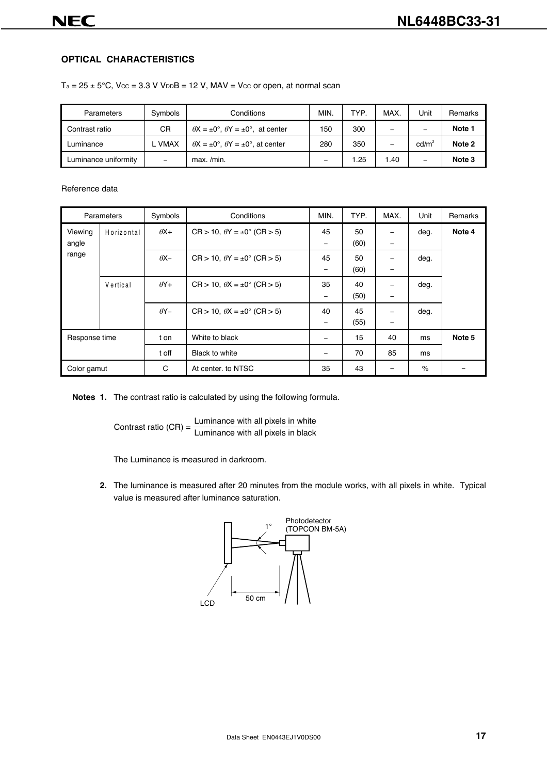# **OPTICAL CHARACTERISTICS**

 $Ta = 25 \pm 5^{\circ}C$ ,  $V_{CC} = 3.3 V V_{D}B = 12 V$ ,  $MAV = V_{CC}$  or open, at normal scan

| Parameters           | Symbols     | Conditions                                              | <b>MIN</b> | <b>TYP</b> | MAX. | Jnit              | Remarks |
|----------------------|-------------|---------------------------------------------------------|------------|------------|------|-------------------|---------|
| Contrast ratio       | CR          | $\theta$ X = $\pm$ 0°, $\theta$ Y = $\pm$ 0°, at center | 150        | 300        |      |                   | Note 1  |
| Luminance            | <b>VMAX</b> | $\theta$ X = ±0°. $\theta$ Y = ±0°. at center           | 280        | 350        | -    | cd/m <sup>2</sup> | Note 2  |
| Luminance uniformity | -           | max. /min.                                              | -          | .25        | 1.40 | -                 | Note 3  |

#### Reference data

| Parameters       |            | Symbols     | Conditions                                         | MIN.                           | TYP.       | MAX.   | Unit | <b>Remarks</b> |
|------------------|------------|-------------|----------------------------------------------------|--------------------------------|------------|--------|------|----------------|
| Viewing<br>angle | Horizontal | $\theta X+$ | $CR > 10$ , $\theta Y = \pm 0^{\circ}$ (CR $> 5$ ) | 45<br>$\qquad \qquad -$        | 50<br>(60) | -      | deg. | Note 4         |
| range            |            | $\theta$ X- | $CR > 10$ , $\theta Y = \pm 0^{\circ}$ (CR $> 5$ ) | 45<br>-                        | 50<br>(60) | -<br>- | deg. |                |
|                  | Vertical   | $\theta$ Y+ | $CR > 10$ , $\theta X = \pm 0^{\circ}$ (CR $> 5$ ) | 35<br>$\qquad \qquad -$        | 40<br>(50) | -      | deg. |                |
|                  |            | $\theta$ Y- | $CR > 10$ , $\theta X = \pm 0^{\circ}$ (CR $> 5$ ) | 40<br>$\overline{\phantom{a}}$ | 45<br>(55) | -      | deg. |                |
| Response time    |            | t on        | White to black                                     | $\overline{\phantom{0}}$       | 15         | 40     | ms   | Note 5         |
|                  |            | t off       | Black to white                                     |                                | 70         | 85     | ms   |                |
| Color gamut      |            | C           | At center, to NTSC                                 | 35                             | 43         |        | $\%$ |                |

**Notes 1.** The contrast ratio is calculated by using the following formula.

Contrast ratio  $(CR) = \frac{Luminance with all pixels in white}{Luminance with all pixels in black}$ 

The Luminance is measured in darkroom.

**2.** The luminance is measured after 20 minutes from the module works, with all pixels in white. Typical value is measured after luminance saturation.

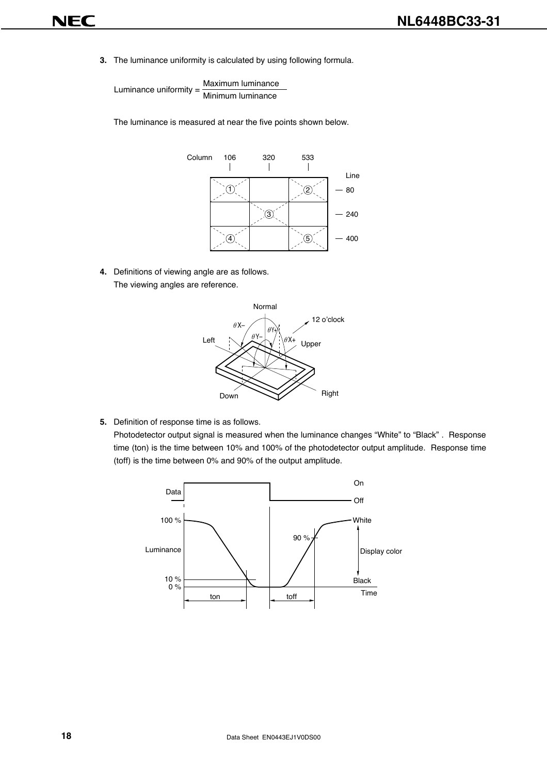**3.** The luminance uniformity is calculated by using following formula.

Luminance uniformity =  $\frac{\text{Maximum luminance}}{\text{Minimum luminance}}$ 

The luminance is measured at near the five points shown below.



**4.** Definitions of viewing angle are as follows. The viewing angles are reference.



**5.** Definition of response time is as follows.

Photodetector output signal is measured when the luminance changes "White" to "Black" . Response time (ton) is the time between 10% and 100% of the photodetector output amplitude. Response time (toff) is the time between 0% and 90% of the output amplitude.

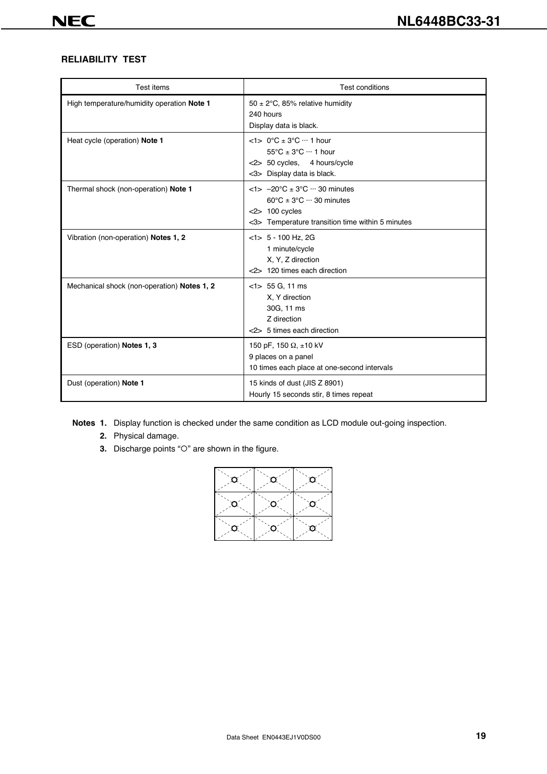# **RELIABILITY TEST**

| Test items                                  | <b>Test conditions</b>                                                                                                                                                        |
|---------------------------------------------|-------------------------------------------------------------------------------------------------------------------------------------------------------------------------------|
| High temperature/humidity operation Note 1  | 50 ± 2 $\degree$ C, 85% relative humidity<br>240 hours<br>Display data is black.                                                                                              |
| Heat cycle (operation) Note 1               | $<1$ > 0°C ± 3°C ··· 1 hour<br>$55^{\circ}$ C ± $3^{\circ}$ C $\cdots$ 1 hour<br><2> 50 cycles, 4 hours/cycle<br><3> Display data is black.                                   |
| Thermal shock (non-operation) Note 1        | $<$ 1> $-20$ °C $\pm$ 3°C $\cdots$ 30 minutes<br>$60^{\circ}$ C ± 3 $^{\circ}$ C $\cdots$ 30 minutes<br>$<$ 2> 100 cycles<br><3> Temperature transition time within 5 minutes |
| Vibration (non-operation) Notes 1, 2        | $<$ 1> 5 - 100 Hz, 2G<br>1 minute/cycle<br>X, Y, Z direction<br><2> 120 times each direction                                                                                  |
| Mechanical shock (non-operation) Notes 1, 2 | $<$ 1> 55 G, 11 ms<br>X, Y direction<br>30G, 11 ms<br>Z direction<br><2> 5 times each direction                                                                               |
| ESD (operation) Notes 1, 3                  | 150 pF, 150 $\Omega$ , ±10 kV<br>9 places on a panel<br>10 times each place at one-second intervals                                                                           |
| Dust (operation) Note 1                     | 15 kinds of dust (JIS Z 8901)<br>Hourly 15 seconds stir, 8 times repeat                                                                                                       |

**Notes 1.** Display function is checked under the same condition as LCD module out-going inspection.

- **2.** Physical damage.
- **3.** Discharge points "O" are shown in the figure.

| σ  | $\alpha$ | $\circ$ |
|----|----------|---------|
| Ο  | IO.      | Ο       |
| O. | O        | ø       |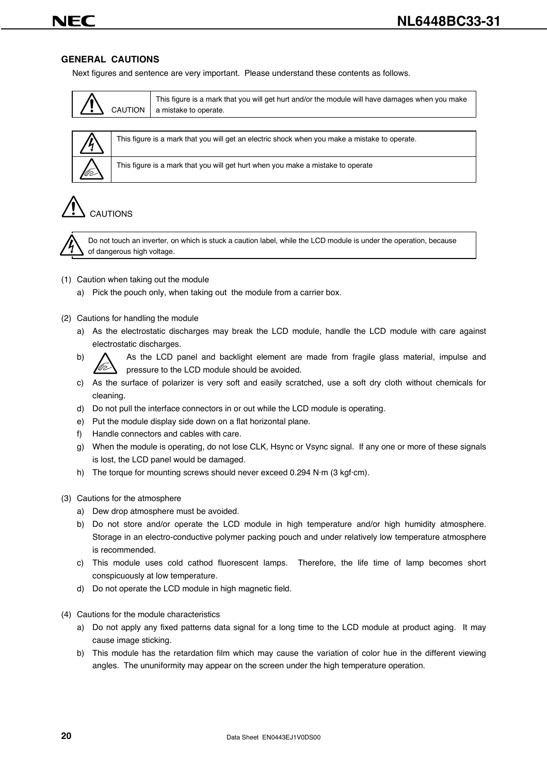# JF6

#### **GENERAL CAUTIONS**

Next figures and sentence are very important. Please understand these contents as follows.

|  | This figure is a mark that you will get hurt and/or the module will have damages when you make<br>CAUTION $\parallel$ a mistake to operate. |
|--|---------------------------------------------------------------------------------------------------------------------------------------------|
|--|---------------------------------------------------------------------------------------------------------------------------------------------|

| $\bigwedge$ | This figure is a mark that you will get an electric shock when you make a mistal |
|-------------|----------------------------------------------------------------------------------|
| fa)         | This figure is a mark that you will get hurt when you make a mistake to operate  |

This figure is a mark that you will get an electric shock when you make a mistake to operate.

CAUTIONS



Do not touch an inverter, on which is stuck a caution label, while the LCD module is under the operation, because of dangerous high voltage.

#### (1) Caution when taking out the module

- a) Pick the pouch only, when taking out the module from a carrier box.
- (2) Cautions for handling the module
	- a) As the electrostatic discharges may break the LCD module, handle the LCD module with care against electrostatic discharges.
	- b)  $\bigwedge$  As the LCD panel and backlight element are made from fragile glass material, impulse and pressure to the LCD module should be avoided.
	- c) As the surface of polarizer is very soft and easily scratched, use a soft dry cloth without chemicals for cleaning.
	- d) Do not pull the interface connectors in or out while the LCD module is operating.
	- e) Put the module display side down on a flat horizontal plane.
	- f) Handle connectors and cables with care.
	- g) When the module is operating, do not lose CLK, Hsync or Vsync signal. If any one or more of these signals is lost, the LCD panel would be damaged.
	- h) The torque for mounting screws should never exceed 0.294 N·m (3 kgf·cm).
- (3) Cautions for the atmosphere
	- a) Dew drop atmosphere must be avoided.
	- b) Do not store and/or operate the LCD module in high temperature and/or high humidity atmosphere. Storage in an electro-conductive polymer packing pouch and under relatively low temperature atmosphere is recommended.
	- c) This module uses cold cathod fluorescent lamps. Therefore, the life time of lamp becomes short conspicuously at low temperature.
	- d) Do not operate the LCD module in high magnetic field.
- (4) Cautions for the module characteristics
	- a) Do not apply any fixed patterns data signal for a long time to the LCD module at product aging. It may cause image sticking.
	- b) This module has the retardation film which may cause the variation of color hue in the different viewing angles. The ununiformity may appear on the screen under the high temperature operation.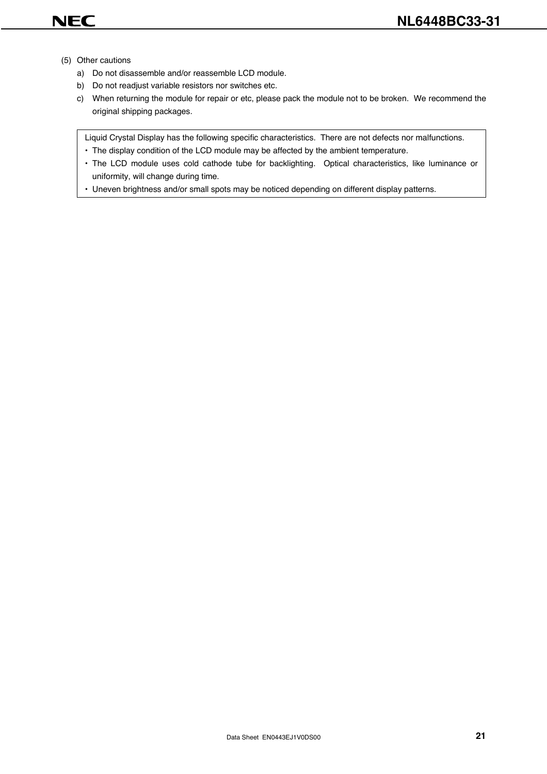- (5) Other cautions
	- a) Do not disassemble and/or reassemble LCD module.
	- b) Do not readjust variable resistors nor switches etc.
	- c) When returning the module for repair or etc, please pack the module not to be broken. We recommend the original shipping packages.

Liquid Crystal Display has the following specific characteristics. There are not defects nor malfunctions.

- The display condition of the LCD module may be affected by the ambient temperature.
- The LCD module uses cold cathode tube for backlighting. Optical characteristics, like luminance or uniformity, will change during time.
- Uneven brightness and/or small spots may be noticed depending on different display patterns.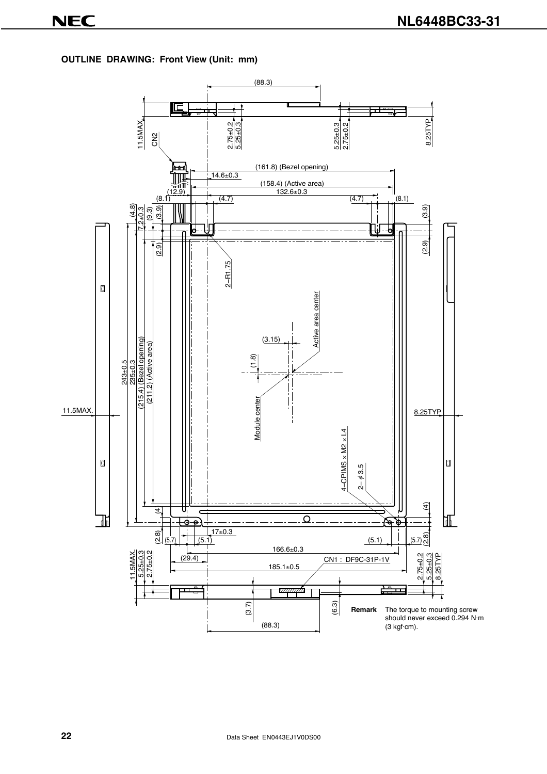**OUTLINE DRAWING: Front View (Unit: mm)**

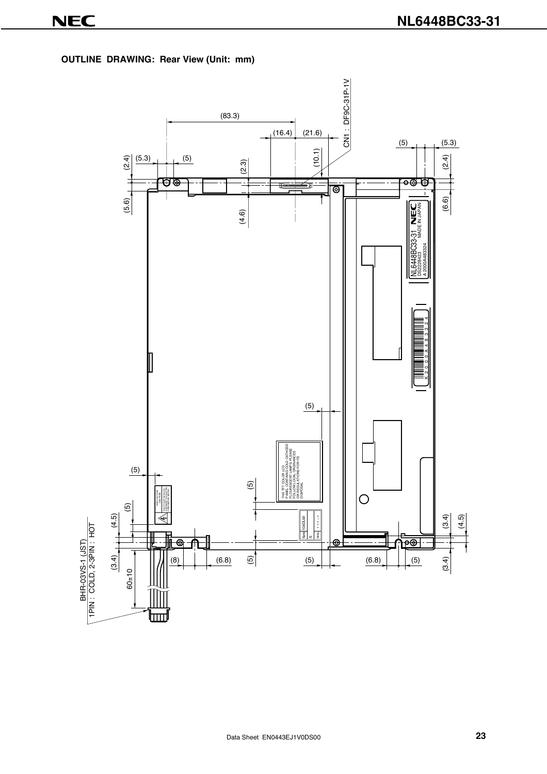**OUTLINE DRAWING: Rear View (Unit: mm)**

![](_page_22_Figure_3.jpeg)